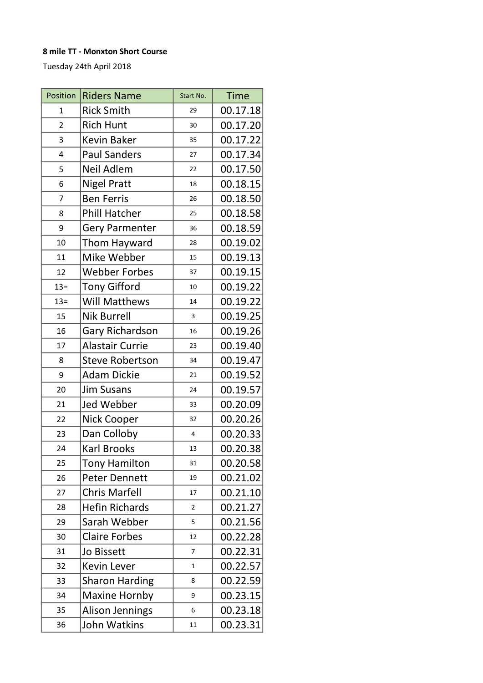## 8 mile TT - Monxton Short Course

Tuesday 24th April 2018

| Position       | <b>Riders Name</b>     | Start No.      | <b>Time</b> |
|----------------|------------------------|----------------|-------------|
| $\overline{1}$ | <b>Rick Smith</b>      | 29             | 00.17.18    |
| $\overline{2}$ | <b>Rich Hunt</b>       | 30             | 00.17.20    |
| 3              | <b>Kevin Baker</b>     | 35             | 00.17.22    |
| 4              | <b>Paul Sanders</b>    | 27             | 00.17.34    |
| 5              | Neil Adlem             | 22             | 00.17.50    |
| 6              | <b>Nigel Pratt</b>     | 18             | 00.18.15    |
| $\overline{7}$ | <b>Ben Ferris</b>      | 26             | 00.18.50    |
| 8              | <b>Phill Hatcher</b>   | 25             | 00.18.58    |
| 9              | <b>Gery Parmenter</b>  | 36             | 00.18.59    |
| 10             | Thom Hayward           | 28             | 00.19.02    |
| 11             | Mike Webber            | 15             | 00.19.13    |
| 12             | <b>Webber Forbes</b>   | 37             | 00.19.15    |
| $13=$          | <b>Tony Gifford</b>    | 10             | 00.19.22    |
| $13=$          | Will Matthews          | 14             | 00.19.22    |
| 15             | <b>Nik Burrell</b>     | 3              | 00.19.25    |
| 16             | Gary Richardson        | 16             | 00.19.26    |
| 17             | <b>Alastair Currie</b> | 23             | 00.19.40    |
| 8              | <b>Steve Robertson</b> | 34             | 00.19.47    |
| 9              | <b>Adam Dickie</b>     | 21             | 00.19.52    |
| 20             | <b>Jim Susans</b>      | 24             | 00.19.57    |
| 21             | <b>Jed Webber</b>      | 33             | 00.20.09    |
| 22             | Nick Cooper            | 32             | 00.20.26    |
| 23             | Dan Colloby            | 4              | 00.20.33    |
| 24             | <b>Karl Brooks</b>     | 13             | 00.20.38    |
| 25             | <b>Tony Hamilton</b>   | 31             | 00.20.58    |
| 26             | <b>Peter Dennett</b>   | 19             | 00.21.02    |
| 27             | <b>Chris Marfell</b>   | 17             | 00.21.10    |
| 28             | <b>Hefin Richards</b>  | $\overline{2}$ | 00.21.27    |
| 29             | Sarah Webber           | 5              | 00.21.56    |
| 30             | <b>Claire Forbes</b>   | 12             | 00.22.28    |
| 31             | <b>Jo Bissett</b>      | 7              | 00.22.31    |
| 32             | <b>Kevin Lever</b>     | 1              | 00.22.57    |
| 33             | <b>Sharon Harding</b>  | 8              | 00.22.59    |
| 34             | <b>Maxine Hornby</b>   | 9              | 00.23.15    |
| 35             | <b>Alison Jennings</b> | 6              | 00.23.18    |
| 36             | John Watkins           | 11             | 00.23.31    |